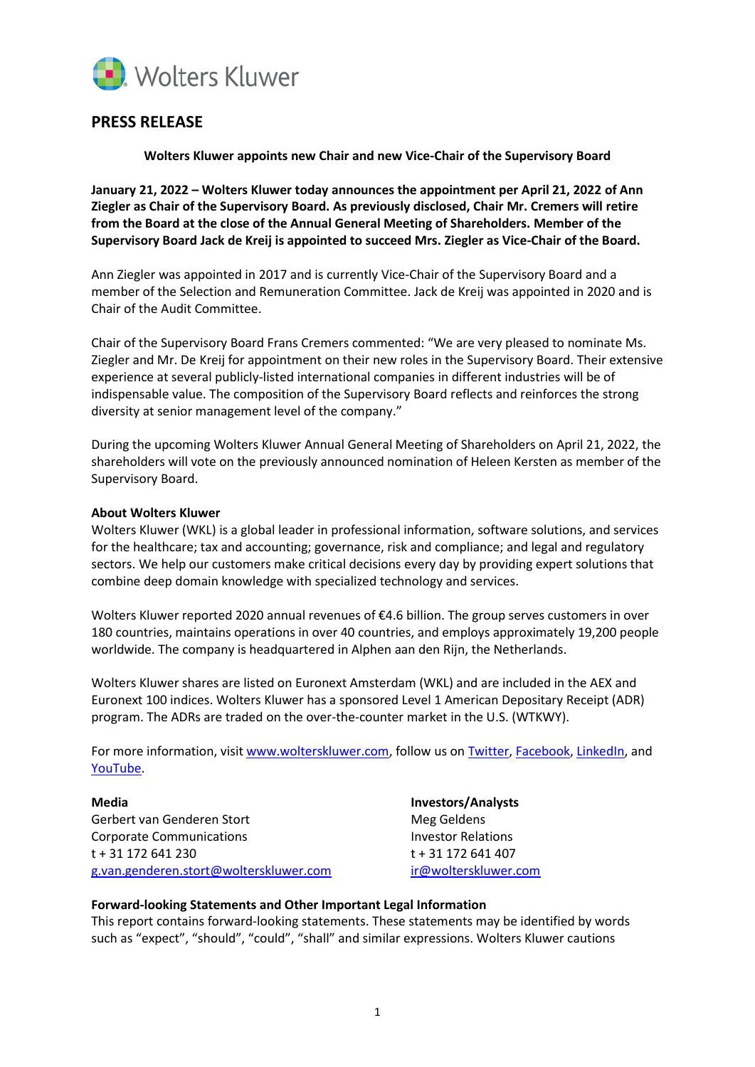

## **PRESS RELEASE**

**Wolters Kluwer appoints new Chair and new Vice-Chair of the Supervisory Board**

**January 21, 2022 – Wolters Kluwer today announces the appointment per April 21, 2022 of Ann Ziegler as Chair of the Supervisory Board. As previously disclosed, Chair Mr. Cremers will retire from the Board at the close of the Annual General Meeting of Shareholders. Member of the Supervisory Board Jack de Kreij is appointed to succeed Mrs. Ziegler as Vice-Chair of the Board.** 

Ann Ziegler was appointed in 2017 and is currently Vice-Chair of the Supervisory Board and a member of the Selection and Remuneration Committee. Jack de Kreij was appointed in 2020 and is Chair of the Audit Committee.

Chair of the Supervisory Board Frans Cremers commented: "We are very pleased to nominate Ms. Ziegler and Mr. De Kreij for appointment on their new roles in the Supervisory Board. Their extensive experience at several publicly-listed international companies in different industries will be of indispensable value. The composition of the Supervisory Board reflects and reinforces the strong diversity at senior management level of the company."

During the upcoming Wolters Kluwer Annual General Meeting of Shareholders on April 21, 2022, the shareholders will vote on the previously announced nomination of Heleen Kersten as member of the Supervisory Board.

## **About Wolters Kluwer**

Wolters Kluwer (WKL) is a global leader in professional information, software solutions, and services for the healthcare; tax and accounting; governance, risk and compliance; and legal and regulatory sectors. We help our customers make critical decisions every day by providing expert solutions that combine deep domain knowledge with specialized technology and services.

Wolters Kluwer reported 2020 annual revenues of €4.6 billion. The group serves customers in over 180 countries, maintains operations in over 40 countries, and employs approximately 19,200 people worldwide. The company is headquartered in Alphen aan den Rijn, the Netherlands.

Wolters Kluwer shares are listed on Euronext Amsterdam (WKL) and are included in the AEX and Euronext 100 indices. Wolters Kluwer has a sponsored Level 1 American Depositary Receipt (ADR) program. The ADRs are traded on the over-the-counter market in the U.S. (WTKWY).

For more information, visi[t www.wolterskluwer.com,](http://www.wolterskluwer.com/) follow us on [Twitter,](https://twitter.com/wolters_kluwer) [Facebook,](https://www.facebook.com/wolterskluwer) [LinkedIn,](https://www.linkedin.com/company/2483?trk=tyah&trkInfo=tarId%3A1415118411059%2Ctas%3Awolters%20kluwer%2Cidx%3A2-1-6) and [YouTube.](http://www.youtube.com/user/WoltersKluwerComms)

**Media Investors/Analysts** Gerbert van Genderen Stort aan deutschappen van Meg Geldens Corporate Communications and the Corporate Communications of the Investor Relations t + 31 172 641 230 t + 31 172 641 407 [g.van.genderen.stort@wolterskluwer.com](mailto:g.van.genderen.stort@wolterskluwer.com) [ir@wolterskluwer.com](mailto:ir@wolterskluwer.com)

## **Forward-looking Statements and Other Important Legal Information**

This report contains forward-looking statements. These statements may be identified by words such as "expect", "should", "could", "shall" and similar expressions. Wolters Kluwer cautions